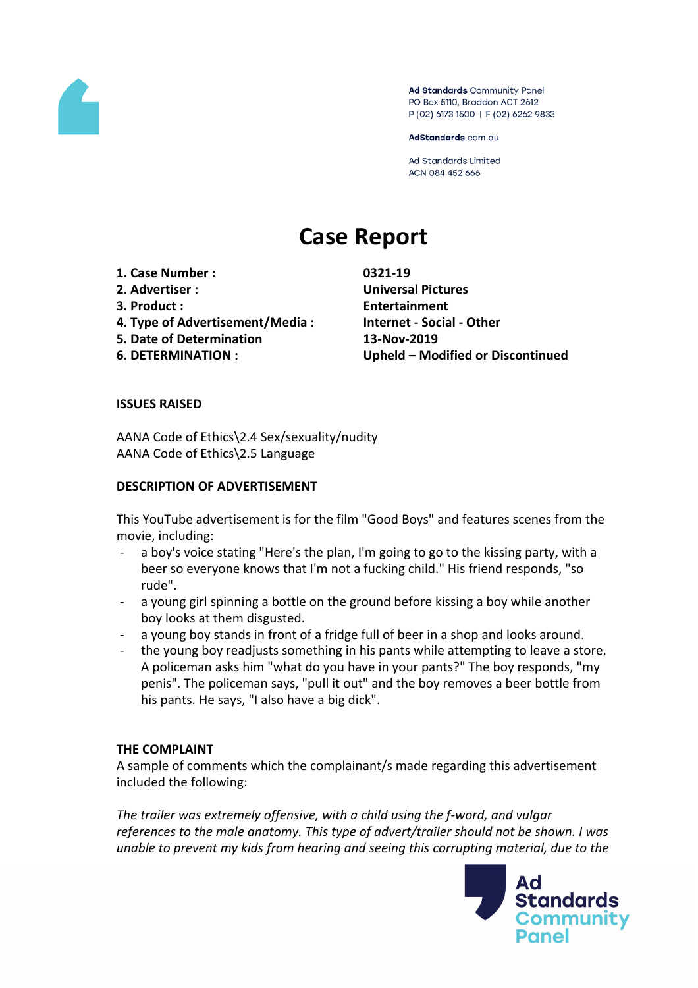

Ad Standards Community Panel PO Box 5110, Braddon ACT 2612 P (02) 6173 1500 | F (02) 6262 9833

AdStandards.com.au

**Ad Standards Limited** ACN 084 452 666

# **Case Report**

- **1. Case Number : 0321-19**
- 
- 
- **4. Type of Advertisement/Media : Internet - Social - Other**
- **5. Date of Determination 13-Nov-2019**
- 

**2. Advertiser : Universal Pictures 3. Product : Entertainment 6. DETERMINATION : Upheld – Modified or Discontinued**

## **ISSUES RAISED**

AANA Code of Ethics\2.4 Sex/sexuality/nudity AANA Code of Ethics\2.5 Language

### **DESCRIPTION OF ADVERTISEMENT**

This YouTube advertisement is for the film "Good Boys" and features scenes from the movie, including:

- a boy's voice stating "Here's the plan, I'm going to go to the kissing party, with a beer so everyone knows that I'm not a fucking child." His friend responds, "so rude".
- a young girl spinning a bottle on the ground before kissing a boy while another boy looks at them disgusted.
- a young boy stands in front of a fridge full of beer in a shop and looks around.
- the young boy readjusts something in his pants while attempting to leave a store. A policeman asks him "what do you have in your pants?" The boy responds, "my penis". The policeman says, "pull it out" and the boy removes a beer bottle from his pants. He says, "I also have a big dick".

### **THE COMPLAINT**

A sample of comments which the complainant/s made regarding this advertisement included the following:

*The trailer was extremely offensive, with a child using the f-word, and vulgar references to the male anatomy. This type of advert/trailer should not be shown. I was unable to prevent my kids from hearing and seeing this corrupting material, due to the*

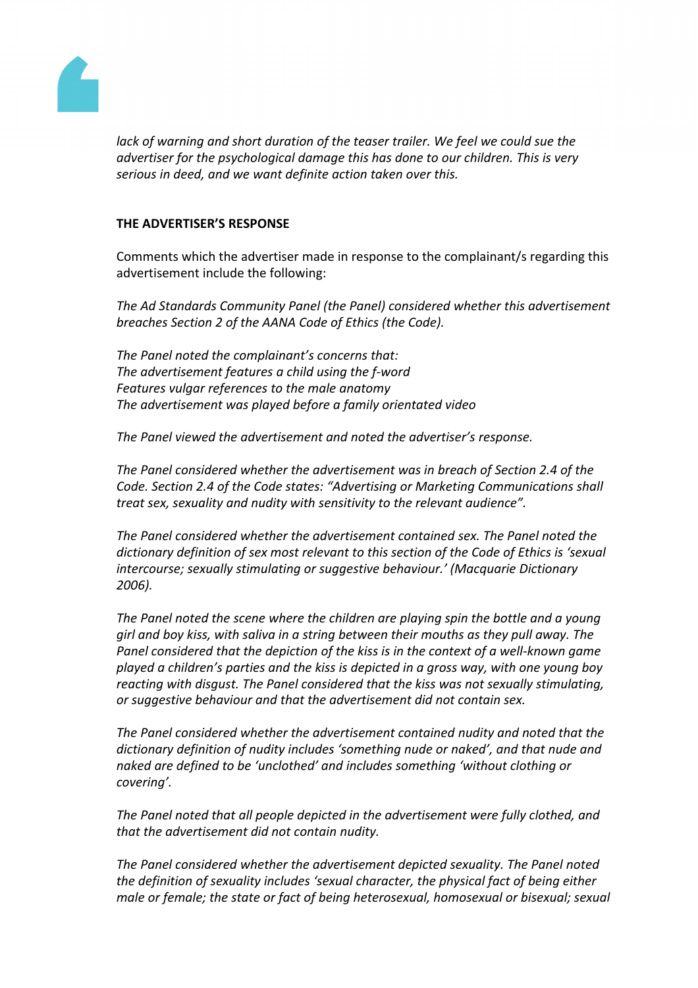

*lack of warning and short duration of the teaser trailer. We feel we could sue the advertiser for the psychological damage this has done to our children. This is very serious in deed, and we want definite action taken over this.*

### **THE ADVERTISER'S RESPONSE**

Comments which the advertiser made in response to the complainant/s regarding this advertisement include the following:

*The Ad Standards Community Panel (the Panel) considered whether this advertisement breaches Section 2 of the AANA Code of Ethics (the Code).*

*The Panel noted the complainant's concerns that: The advertisement features a child using the f-word Features vulgar references to the male anatomy The advertisement was played before a family orientated video*

*The Panel viewed the advertisement and noted the advertiser's response.*

*The Panel considered whether the advertisement was in breach of Section 2.4 of the Code. Section 2.4 of the Code states: "Advertising or Marketing Communications shall treat sex, sexuality and nudity with sensitivity to the relevant audience".*

*The Panel considered whether the advertisement contained sex. The Panel noted the dictionary definition of sex most relevant to this section of the Code of Ethics is 'sexual intercourse; sexually stimulating or suggestive behaviour.' (Macquarie Dictionary 2006).*

*The Panel noted the scene where the children are playing spin the bottle and a young girl and boy kiss, with saliva in a string between their mouths as they pull away. The Panel considered that the depiction of the kiss is in the context of a well-known game played a children's parties and the kiss is depicted in a gross way, with one young boy reacting with disgust. The Panel considered that the kiss was not sexually stimulating, or suggestive behaviour and that the advertisement did not contain sex.*

*The Panel considered whether the advertisement contained nudity and noted that the dictionary definition of nudity includes 'something nude or naked', and that nude and naked are defined to be 'unclothed' and includes something 'without clothing or covering'.*

*The Panel noted that all people depicted in the advertisement were fully clothed, and that the advertisement did not contain nudity.*

*The Panel considered whether the advertisement depicted sexuality. The Panel noted the definition of sexuality includes 'sexual character, the physical fact of being either male or female; the state or fact of being heterosexual, homosexual or bisexual; sexual*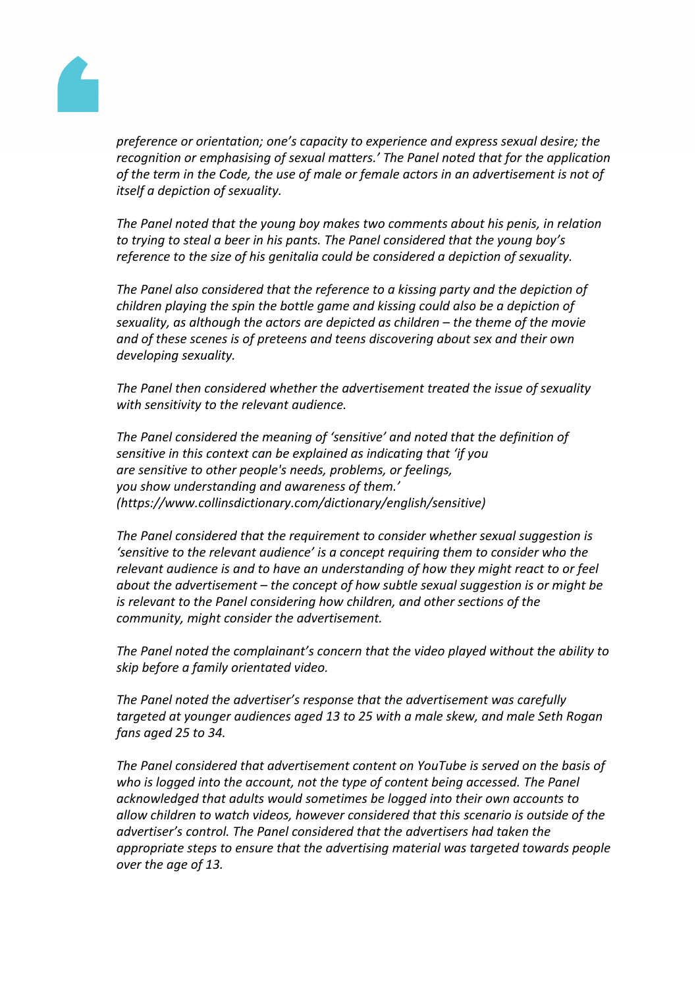

*preference or orientation; one's capacity to experience and express sexual desire; the recognition or emphasising of sexual matters.' The Panel noted that for the application of the term in the Code, the use of male or female actors in an advertisement is not of itself a depiction of sexuality.*

*The Panel noted that the young boy makes two comments about his penis, in relation to trying to steal a beer in his pants. The Panel considered that the young boy's reference to the size of his genitalia could be considered a depiction of sexuality.*

*The Panel also considered that the reference to a kissing party and the depiction of children playing the spin the bottle game and kissing could also be a depiction of sexuality, as although the actors are depicted as children – the theme of the movie and of these scenes is of preteens and teens discovering about sex and their own developing sexuality.*

*The Panel then considered whether the advertisement treated the issue of sexuality with sensitivity to the relevant audience.*

*The Panel considered the meaning of 'sensitive' and noted that the definition of sensitive in this context can be explained as indicating that 'if you are sensitive to other people's needs, problems, or feelings, you show understanding and awareness of them.' (https://www.collinsdictionary.com/dictionary/english/sensitive)*

*The Panel considered that the requirement to consider whether sexual suggestion is 'sensitive to the relevant audience' is a concept requiring them to consider who the relevant audience is and to have an understanding of how they might react to or feel about the advertisement – the concept of how subtle sexual suggestion is or might be is relevant to the Panel considering how children, and other sections of the community, might consider the advertisement.*

*The Panel noted the complainant's concern that the video played without the ability to skip before a family orientated video.*

*The Panel noted the advertiser's response that the advertisement was carefully targeted at younger audiences aged 13 to 25 with a male skew, and male Seth Rogan fans aged 25 to 34.*

*The Panel considered that advertisement content on YouTube is served on the basis of who is logged into the account, not the type of content being accessed. The Panel acknowledged that adults would sometimes be logged into their own accounts to allow children to watch videos, however considered that this scenario is outside of the advertiser's control. The Panel considered that the advertisers had taken the appropriate steps to ensure that the advertising material was targeted towards people over the age of 13.*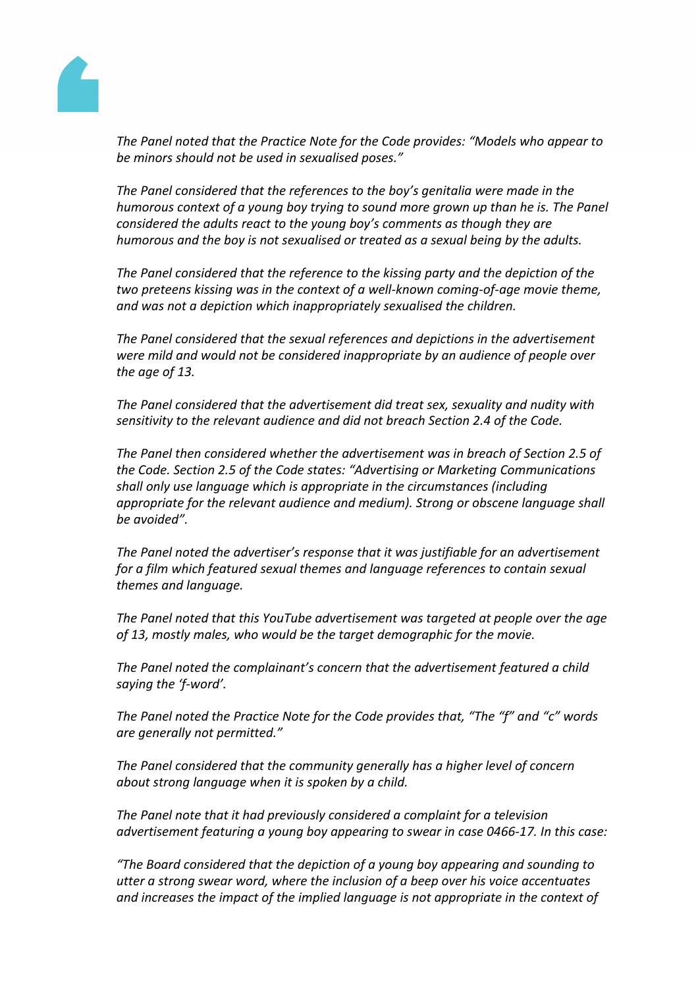

*The Panel noted that the Practice Note for the Code provides: "Models who appear to be minors should not be used in sexualised poses."*

*The Panel considered that the references to the boy's genitalia were made in the humorous context of a young boy trying to sound more grown up than he is. The Panel considered the adults react to the young boy's comments as though they are humorous and the boy is not sexualised or treated as a sexual being by the adults.*

*The Panel considered that the reference to the kissing party and the depiction of the two preteens kissing was in the context of a well-known coming-of-age movie theme, and was not a depiction which inappropriately sexualised the children.*

*The Panel considered that the sexual references and depictions in the advertisement were mild and would not be considered inappropriate by an audience of people over the age of 13.*

*The Panel considered that the advertisement did treat sex, sexuality and nudity with sensitivity to the relevant audience and did not breach Section 2.4 of the Code.*

*The Panel then considered whether the advertisement was in breach of Section 2.5 of the Code. Section 2.5 of the Code states: "Advertising or Marketing Communications shall only use language which is appropriate in the circumstances (including appropriate for the relevant audience and medium). Strong or obscene language shall be avoided".*

*The Panel noted the advertiser's response that it was justifiable for an advertisement for a film which featured sexual themes and language references to contain sexual themes and language.*

*The Panel noted that this YouTube advertisement was targeted at people over the age of 13, mostly males, who would be the target demographic for the movie.*

*The Panel noted the complainant's concern that the advertisement featured a child saying the 'f-word'.*

*The Panel noted the Practice Note for the Code provides that, "The "f" and "c" words are generally not permitted."*

*The Panel considered that the community generally has a higher level of concern about strong language when it is spoken by a child.*

*The Panel note that it had previously considered a complaint for a television advertisement featuring a young boy appearing to swear in case 0466-17. In this case:*

*"The Board considered that the depiction of a young boy appearing and sounding to utter a strong swear word, where the inclusion of a beep over his voice accentuates and increases the impact of the implied language is not appropriate in the context of*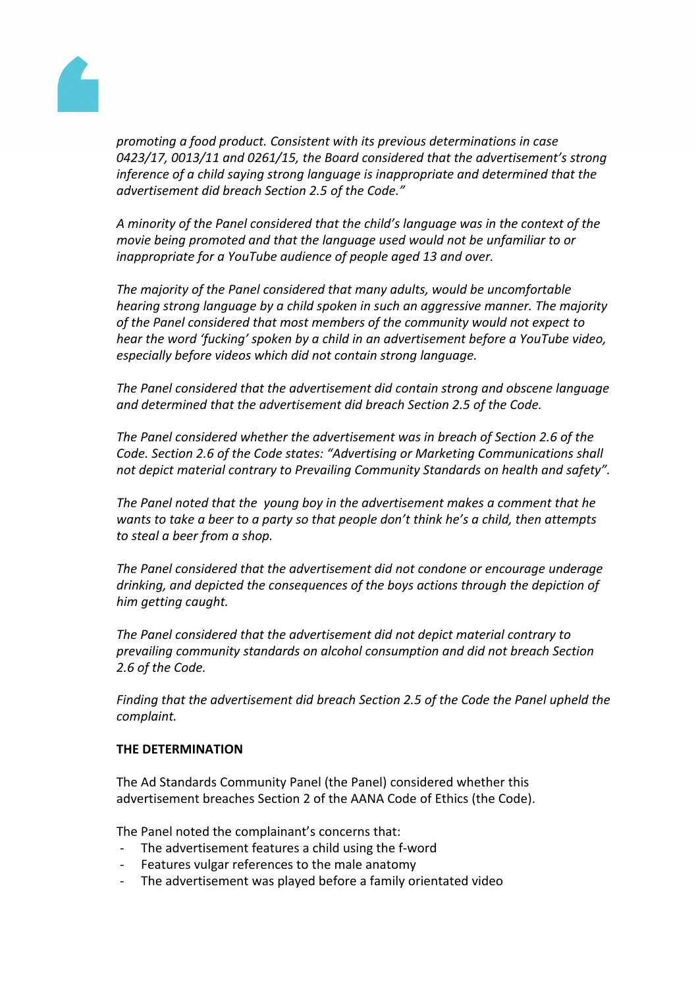

*promoting a food product. Consistent with its previous determinations in case 0423/17, 0013/11 and 0261/15, the Board considered that the advertisement's strong inference of a child saying strong language is inappropriate and determined that the advertisement did breach Section 2.5 of the Code."*

*A minority of the Panel considered that the child's language was in the context of the movie being promoted and that the language used would not be unfamiliar to or inappropriate for a YouTube audience of people aged 13 and over.*

*The majority of the Panel considered that many adults, would be uncomfortable hearing strong language by a child spoken in such an aggressive manner. The majority of the Panel considered that most members of the community would not expect to hear the word 'fucking' spoken by a child in an advertisement before a YouTube video, especially before videos which did not contain strong language.*

*The Panel considered that the advertisement did contain strong and obscene language and determined that the advertisement did breach Section 2.5 of the Code.*

*The Panel considered whether the advertisement was in breach of Section 2.6 of the Code. Section 2.6 of the Code states: "Advertising or Marketing Communications shall not depict material contrary to Prevailing Community Standards on health and safety".*

*The Panel noted that the young boy in the advertisement makes a comment that he wants to take a beer to a party so that people don't think he's a child, then attempts to steal a beer from a shop.*

*The Panel considered that the advertisement did not condone or encourage underage drinking, and depicted the consequences of the boys actions through the depiction of him getting caught.*

*The Panel considered that the advertisement did not depict material contrary to prevailing community standards on alcohol consumption and did not breach Section 2.6 of the Code.*

*Finding that the advertisement did breach Section 2.5 of the Code the Panel upheld the complaint.*

### **THE DETERMINATION**

The Ad Standards Community Panel (the Panel) considered whether this advertisement breaches Section 2 of the AANA Code of Ethics (the Code).

The Panel noted the complainant's concerns that:

- The advertisement features a child using the f-word
- Features vulgar references to the male anatomy
- The advertisement was played before a family orientated video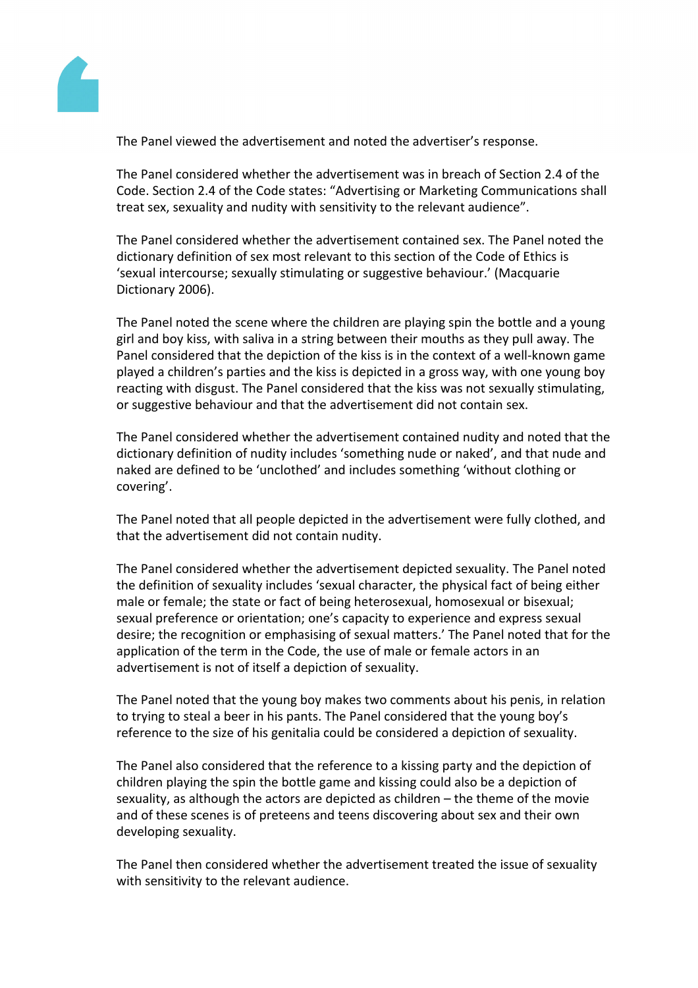

The Panel viewed the advertisement and noted the advertiser's response.

The Panel considered whether the advertisement was in breach of Section 2.4 of the Code. Section 2.4 of the Code states: "Advertising or Marketing Communications shall treat sex, sexuality and nudity with sensitivity to the relevant audience".

The Panel considered whether the advertisement contained sex. The Panel noted the dictionary definition of sex most relevant to this section of the Code of Ethics is 'sexual intercourse; sexually stimulating or suggestive behaviour.' (Macquarie Dictionary 2006).

The Panel noted the scene where the children are playing spin the bottle and a young girl and boy kiss, with saliva in a string between their mouths as they pull away. The Panel considered that the depiction of the kiss is in the context of a well-known game played a children's parties and the kiss is depicted in a gross way, with one young boy reacting with disgust. The Panel considered that the kiss was not sexually stimulating, or suggestive behaviour and that the advertisement did not contain sex.

The Panel considered whether the advertisement contained nudity and noted that the dictionary definition of nudity includes 'something nude or naked', and that nude and naked are defined to be 'unclothed' and includes something 'without clothing or covering'.

The Panel noted that all people depicted in the advertisement were fully clothed, and that the advertisement did not contain nudity.

The Panel considered whether the advertisement depicted sexuality. The Panel noted the definition of sexuality includes 'sexual character, the physical fact of being either male or female; the state or fact of being heterosexual, homosexual or bisexual; sexual preference or orientation; one's capacity to experience and express sexual desire; the recognition or emphasising of sexual matters.' The Panel noted that for the application of the term in the Code, the use of male or female actors in an advertisement is not of itself a depiction of sexuality.

The Panel noted that the young boy makes two comments about his penis, in relation to trying to steal a beer in his pants. The Panel considered that the young boy's reference to the size of his genitalia could be considered a depiction of sexuality.

The Panel also considered that the reference to a kissing party and the depiction of children playing the spin the bottle game and kissing could also be a depiction of sexuality, as although the actors are depicted as children – the theme of the movie and of these scenes is of preteens and teens discovering about sex and their own developing sexuality.

The Panel then considered whether the advertisement treated the issue of sexuality with sensitivity to the relevant audience.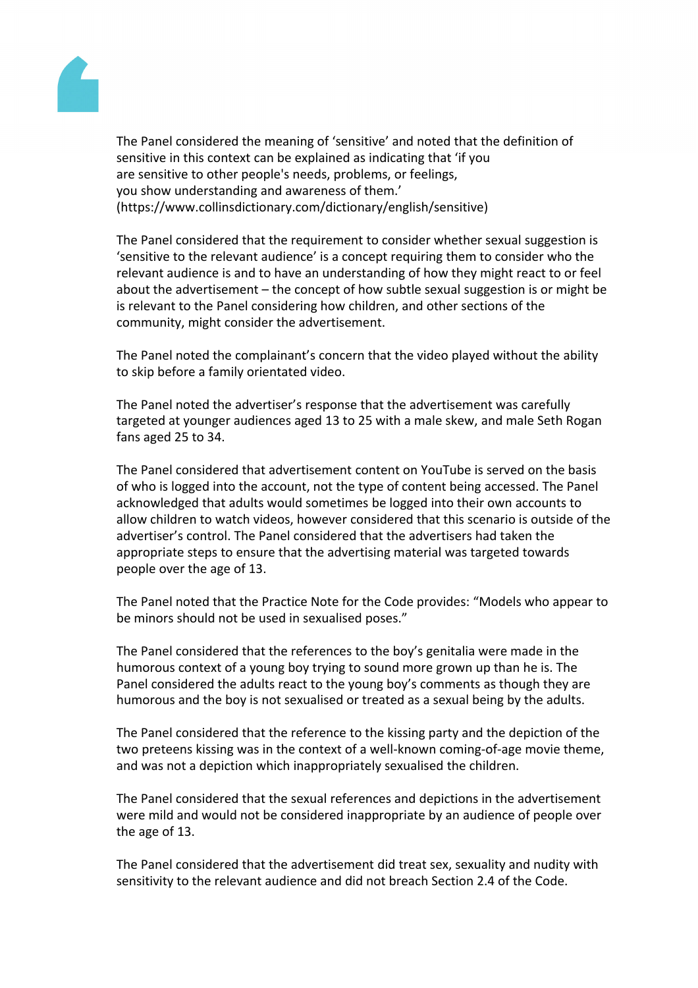

The Panel considered the meaning of 'sensitive' and noted that the definition of sensitive in this context can be explained as indicating that 'if you are sensitive to other people's needs, problems, or feelings, you show understanding and awareness of them.' (https://www.collinsdictionary.com/dictionary/english/sensitive)

The Panel considered that the requirement to consider whether sexual suggestion is 'sensitive to the relevant audience' is a concept requiring them to consider who the relevant audience is and to have an understanding of how they might react to or feel about the advertisement – the concept of how subtle sexual suggestion is or might be is relevant to the Panel considering how children, and other sections of the community, might consider the advertisement.

The Panel noted the complainant's concern that the video played without the ability to skip before a family orientated video.

The Panel noted the advertiser's response that the advertisement was carefully targeted at younger audiences aged 13 to 25 with a male skew, and male Seth Rogan fans aged 25 to 34.

The Panel considered that advertisement content on YouTube is served on the basis of who is logged into the account, not the type of content being accessed. The Panel acknowledged that adults would sometimes be logged into their own accounts to allow children to watch videos, however considered that this scenario is outside of the advertiser's control. The Panel considered that the advertisers had taken the appropriate steps to ensure that the advertising material was targeted towards people over the age of 13.

The Panel noted that the Practice Note for the Code provides: "Models who appear to be minors should not be used in sexualised poses."

The Panel considered that the references to the boy's genitalia were made in the humorous context of a young boy trying to sound more grown up than he is. The Panel considered the adults react to the young boy's comments as though they are humorous and the boy is not sexualised or treated as a sexual being by the adults.

The Panel considered that the reference to the kissing party and the depiction of the two preteens kissing was in the context of a well-known coming-of-age movie theme, and was not a depiction which inappropriately sexualised the children.

The Panel considered that the sexual references and depictions in the advertisement were mild and would not be considered inappropriate by an audience of people over the age of 13.

The Panel considered that the advertisement did treat sex, sexuality and nudity with sensitivity to the relevant audience and did not breach Section 2.4 of the Code.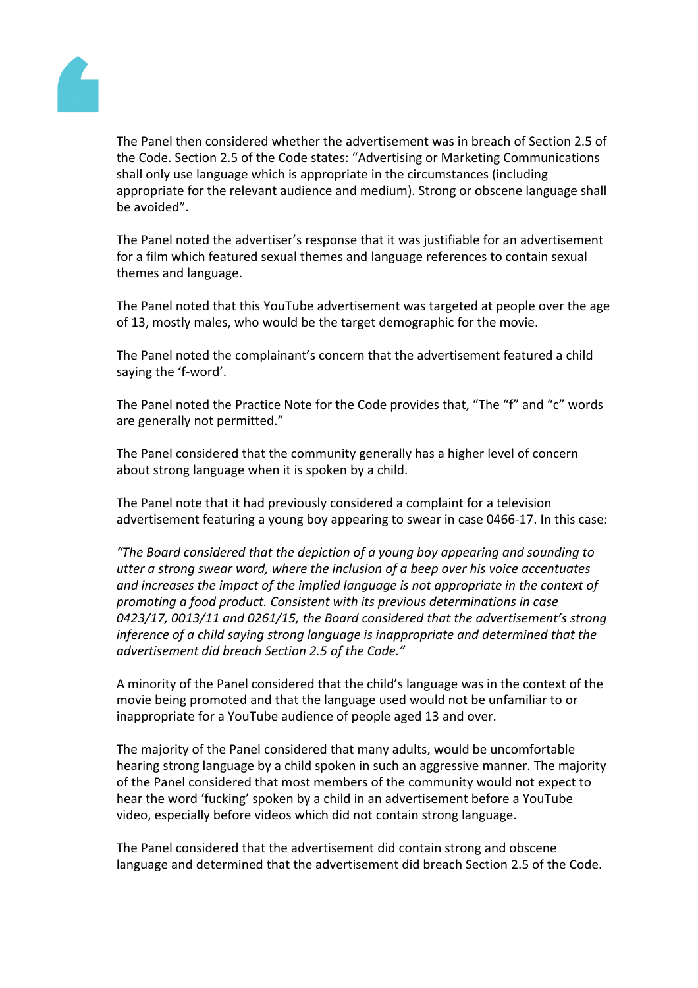

The Panel then considered whether the advertisement was in breach of Section 2.5 of the Code. Section 2.5 of the Code states: "Advertising or Marketing Communications shall only use language which is appropriate in the circumstances (including appropriate for the relevant audience and medium). Strong or obscene language shall be avoided".

The Panel noted the advertiser's response that it was justifiable for an advertisement for a film which featured sexual themes and language references to contain sexual themes and language.

The Panel noted that this YouTube advertisement was targeted at people over the age of 13, mostly males, who would be the target demographic for the movie.

The Panel noted the complainant's concern that the advertisement featured a child saying the 'f-word'.

The Panel noted the Practice Note for the Code provides that, "The "f" and "c" words are generally not permitted."

The Panel considered that the community generally has a higher level of concern about strong language when it is spoken by a child.

The Panel note that it had previously considered a complaint for a television advertisement featuring a young boy appearing to swear in case 0466-17. In this case:

*"The Board considered that the depiction of a young boy appearing and sounding to utter a strong swear word, where the inclusion of a beep over his voice accentuates and increases the impact of the implied language is not appropriate in the context of promoting a food product. Consistent with its previous determinations in case 0423/17, 0013/11 and 0261/15, the Board considered that the advertisement's strong inference of a child saying strong language is inappropriate and determined that the advertisement did breach Section 2.5 of the Code."*

A minority of the Panel considered that the child's language was in the context of the movie being promoted and that the language used would not be unfamiliar to or inappropriate for a YouTube audience of people aged 13 and over.

The majority of the Panel considered that many adults, would be uncomfortable hearing strong language by a child spoken in such an aggressive manner. The majority of the Panel considered that most members of the community would not expect to hear the word 'fucking' spoken by a child in an advertisement before a YouTube video, especially before videos which did not contain strong language.

The Panel considered that the advertisement did contain strong and obscene language and determined that the advertisement did breach Section 2.5 of the Code.